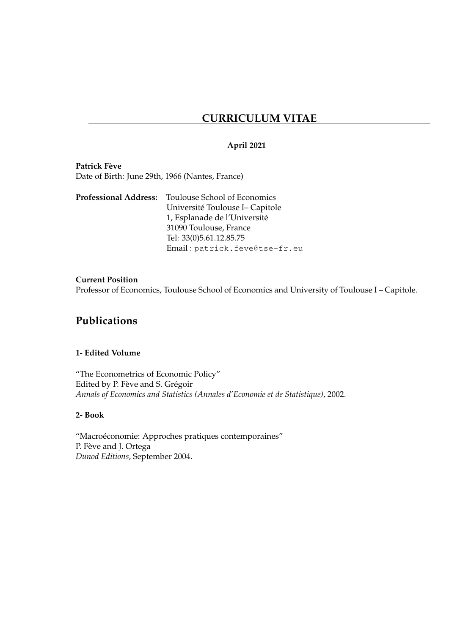# **CURRICULUM VITAE**

### **April 2021**

**Patrick Fève** Date of Birth: June 29th, 1966 (Nantes, France)

|  | <b>Professional Address:</b> Toulouse School of Economics |
|--|-----------------------------------------------------------|
|  | Université Toulouse I- Capitole                           |
|  | 1, Esplanade de l'Université                              |
|  | 31090 Toulouse, France                                    |
|  | Tel: 33(0)5.61.12.85.75                                   |
|  | Email: patrick.feve@tse-fr.eu                             |

### **Current Position**

Professor of Economics, Toulouse School of Economics and University of Toulouse I – Capitole.

## **Publications**

### **1- Edited Volume**

"The Econometrics of Economic Policy" Edited by P. Fève and S. Grégoir *Annals of Economics and Statistics (Annales d'Economie et de Statistique)*, 2002.

### **2- Book**

"Macroéconomie: Approches pratiques contemporaines" P. Fève and J. Ortega *Dunod Editions*, September 2004.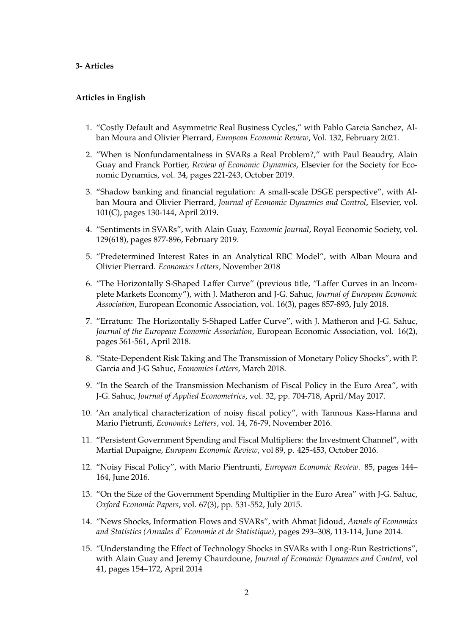#### **3- Articles**

#### **Articles in English**

- 1. "Costly Default and Asymmetric Real Business Cycles," with Pablo Garcia Sanchez, Alban Moura and Olivier Pierrard, *European Economic Review*, Vol. 132, February 2021.
- 2. "When is Nonfundamentalness in SVARs a Real Problem?," with Paul Beaudry, Alain Guay and Franck Portier, *Review of Economic Dynamics*, Elsevier for the Society for Economic Dynamics, vol. 34, pages 221-243, October 2019.
- 3. "Shadow banking and financial regulation: A small-scale DSGE perspective", with Alban Moura and Olivier Pierrard, *Journal of Economic Dynamics and Control*, Elsevier, vol. 101(C), pages 130-144, April 2019.
- 4. "Sentiments in SVARs", with Alain Guay, *Economic Journal*, Royal Economic Society, vol. 129(618), pages 877-896, February 2019.
- 5. "Predetermined Interest Rates in an Analytical RBC Model", with Alban Moura and Olivier Pierrard. *Economics Letters*, November 2018
- 6. "The Horizontally S-Shaped Laffer Curve" (previous title, "Laffer Curves in an Incomplete Markets Economy"), with J. Matheron and J-G. Sahuc, *Journal of European Economic Association*, European Economic Association, vol. 16(3), pages 857-893, July 2018.
- 7. "Erratum: The Horizontally S-Shaped Laffer Curve", with J. Matheron and J-G. Sahuc, *Journal of the European Economic Association*, European Economic Association, vol. 16(2), pages 561-561, April 2018.
- 8. "State-Dependent Risk Taking and The Transmission of Monetary Policy Shocks", with P. Garcia and J-G Sahuc, *Economics Letters*, March 2018.
- 9. "In the Search of the Transmission Mechanism of Fiscal Policy in the Euro Area", with J-G. Sahuc, *Journal of Applied Econometrics*, vol. 32, pp. 704-718, April/May 2017.
- 10. 'An analytical characterization of noisy fiscal policy", with Tannous Kass-Hanna and Mario Pietrunti, *Economics Letters*, vol. 14, 76-79, November 2016.
- 11. "Persistent Government Spending and Fiscal Multipliers: the Investment Channel", with Martial Dupaigne, *European Economic Review*, vol 89, p. 425-453, October 2016.
- 12. "Noisy Fiscal Policy", with Mario Pientrunti, *European Economic Review*. 85, pages 144– 164, June 2016.
- 13. "On the Size of the Government Spending Multiplier in the Euro Area" with J-G. Sahuc, *Oxford Economic Papers*, vol. 67(3), pp. 531-552, July 2015.
- 14. "News Shocks, Information Flows and SVARs", with Ahmat Jidoud, *Annals of Economics and Statistics (Annales d' Economie et de Statistique)*, pages 293–308, 113-114, June 2014.
- 15. "Understanding the Effect of Technology Shocks in SVARs with Long-Run Restrictions", with Alain Guay and Jeremy Chaurdoune, *Journal of Economic Dynamics and Control*, vol 41, pages 154–172, April 2014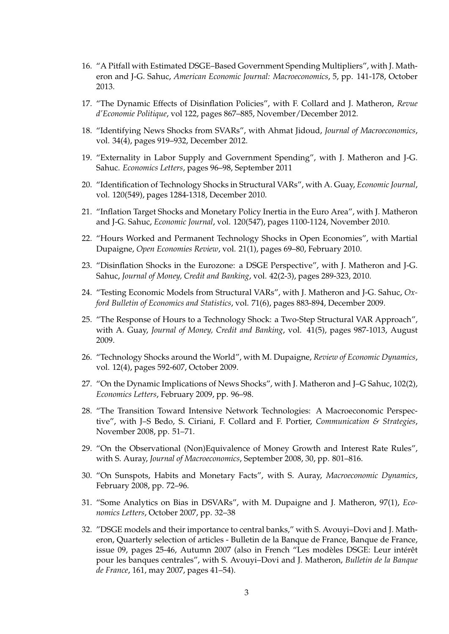- 16. "A Pitfall with Estimated DSGE–Based Government Spending Multipliers", with J. Matheron and J-G. Sahuc, *American Economic Journal: Macroeconomics*, 5, pp. 141-178, October 2013.
- 17. "The Dynamic Effects of Disinflation Policies", with F. Collard and J. Matheron, *Revue d'Economie Politique*, vol 122, pages 867–885, November/December 2012.
- 18. "Identifying News Shocks from SVARs", with Ahmat Jidoud, *Journal of Macroeconomics*, vol. 34(4), pages 919–932, December 2012.
- 19. "Externality in Labor Supply and Government Spending", with J. Matheron and J-G. Sahuc. *Economics Letters*, pages 96–98, September 2011
- 20. "Identification of Technology Shocks in Structural VARs", with A. Guay, *Economic Journal*, vol. 120(549), pages 1284-1318, December 2010.
- 21. "Inflation Target Shocks and Monetary Policy Inertia in the Euro Area", with J. Matheron and J-G. Sahuc, *Economic Journal*, vol. 120(547), pages 1100-1124, November 2010.
- 22. "Hours Worked and Permanent Technology Shocks in Open Economies", with Martial Dupaigne, *Open Economies Review*, vol. 21(1), pages 69–80, February 2010.
- 23. "Disinflation Shocks in the Eurozone: a DSGE Perspective", with J. Matheron and J-G. Sahuc, *Journal of Money, Credit and Banking*, vol. 42(2-3), pages 289-323, 2010.
- 24. "Testing Economic Models from Structural VARs", with J. Matheron and J-G. Sahuc, *Oxford Bulletin of Economics and Statistics*, vol. 71(6), pages 883-894, December 2009.
- 25. "The Response of Hours to a Technology Shock: a Two-Step Structural VAR Approach", with A. Guay, *Journal of Money, Credit and Banking*, vol. 41(5), pages 987-1013, August 2009.
- 26. "Technology Shocks around the World", with M. Dupaigne, *Review of Economic Dynamics*, vol. 12(4), pages 592-607, October 2009.
- 27. "On the Dynamic Implications of News Shocks", with J. Matheron and J–G Sahuc, 102(2), *Economics Letters*, February 2009, pp. 96–98.
- 28. "The Transition Toward Intensive Network Technologies: A Macroeconomic Perspective", with J–S Bedo, S. Ciriani, F. Collard and F. Portier, *Communication & Strategies*, November 2008, pp. 51–71.
- 29. "On the Observational (Non)Equivalence of Money Growth and Interest Rate Rules", with S. Auray, *Journal of Macroeconomics*, September 2008, 30, pp. 801–816.
- 30. "On Sunspots, Habits and Monetary Facts", with S. Auray, *Macroeconomic Dynamics*, February 2008, pp. 72–96.
- 31. "Some Analytics on Bias in DSVARs", with M. Dupaigne and J. Matheron, 97(1), *Economics Letters*, October 2007, pp. 32–38
- 32. "DSGE models and their importance to central banks," with S. Avouyi–Dovi and J. Matheron, Quarterly selection of articles - Bulletin de la Banque de France, Banque de France, issue 09, pages 25-46, Autumn 2007 (also in French "Les modèles DSGE: Leur intérêt pour les banques centrales", with S. Avouyi–Dovi and J. Matheron, *Bulletin de la Banque de France*, 161, may 2007, pages 41–54).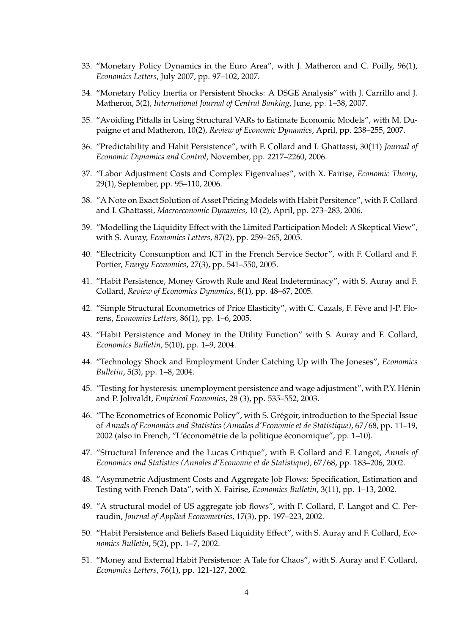- 33. "Monetary Policy Dynamics in the Euro Area", with J. Matheron and C. Poilly, 96(1), *Economics Letters*, July 2007, pp. 97–102, 2007.
- 34. "Monetary Policy Inertia or Persistent Shocks: A DSGE Analysis" with J. Carrillo and J. Matheron, 3(2), *International Journal of Central Banking*, June, pp. 1–38, 2007.
- 35. "Avoiding Pitfalls in Using Structural VARs to Estimate Economic Models", with M. Dupaigne et and Matheron, 10(2), *Review of Economic Dynamics*, April, pp. 238–255, 2007.
- 36. "Predictability and Habit Persistence", with F. Collard and I. Ghattassi, 30(11) *Journal of Economic Dynamics and Control*, November, pp. 2217–2260, 2006.
- 37. "Labor Adjustment Costs and Complex Eigenvalues", with X. Fairise, *Economic Theory*, 29(1), September, pp. 95–110, 2006.
- 38. "A Note on Exact Solution of Asset Pricing Models with Habit Persitence", with F. Collard and I. Ghattassi, *Macroeconomic Dynamics*, 10 (2), April, pp. 273–283, 2006.
- 39. "Modelling the Liquidity Effect with the Limited Participation Model: A Skeptical View", with S. Auray, *Economics Letters*, 87(2), pp. 259–265, 2005.
- 40. "Electricity Consumption and ICT in the French Service Sector", with F. Collard and F. Portier, *Energy Economics*, 27(3), pp. 541–550, 2005.
- 41. "Habit Persistence, Money Growth Rule and Real Indeterminacy", with S. Auray and F. Collard, *Review of Economics Dynamics*, 8(1), pp. 48–67, 2005.
- 42. "Simple Structural Econometrics of Price Elasticity", with C. Cazals, F. Fève and J-P. Florens, *Economics Letters*, 86(1), pp. 1–6, 2005.
- 43. "Habit Persistence and Money in the Utility Function" with S. Auray and F. Collard, *Economics Bulletin*, 5(10), pp. 1–9, 2004.
- 44. "Technology Shock and Employment Under Catching Up with The Joneses", *Economics Bulletin*, 5(3), pp. 1–8, 2004.
- 45. "Testing for hysteresis: unemployment persistence and wage adjustment", with P.Y. Hénin and P. Jolivaldt, *Empirical Economics*, 28 (3), pp. 535–552, 2003.
- 46. "The Econometrics of Economic Policy", with S. Grégoir, introduction to the Special Issue of *Annals of Economics and Statistics (Annales d'Economie et de Statistique)*, 67/68, pp. 11–19, 2002 (also in French, "L'économétrie de la politique économique", pp. 1-10).
- 47. "Structural Inference and the Lucas Critique", with F. Collard and F. Langot, *Annals of Economics and Statistics (Annales d'Economie et de Statistique)*, 67/68, pp. 183–206, 2002.
- 48. "Asymmetric Adjustment Costs and Aggregate Job Flows: Specification, Estimation and Testing with French Data", with X. Fairise, *Economics Bulletin*, 3(11), pp. 1–13, 2002.
- 49. "A structural model of US aggregate job flows", with F. Collard, F. Langot and C. Perraudin, *Journal of Applied Econometrics*, 17(3), pp. 197–223, 2002.
- 50. "Habit Persistence and Beliefs Based Liquidity Effect", with S. Auray and F. Collard, *Economics Bulletin*, 5(2), pp. 1–7, 2002.
- 51. "Money and External Habit Persistence: A Tale for Chaos", with S. Auray and F. Collard, *Economics Letters*, 76(1), pp. 121-127, 2002.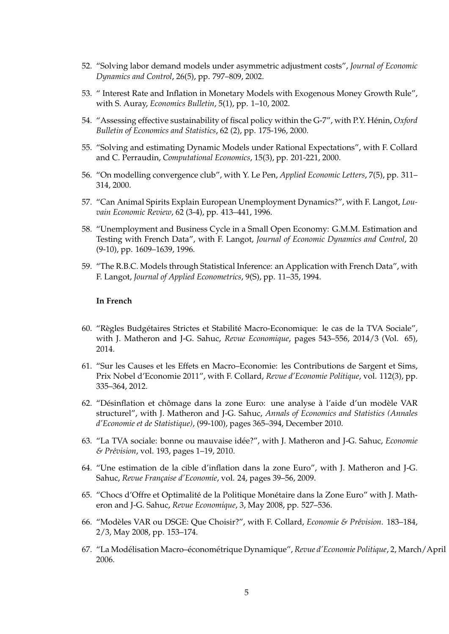- 52. "Solving labor demand models under asymmetric adjustment costs", *Journal of Economic Dynamics and Control*, 26(5), pp. 797–809, 2002.
- 53. " Interest Rate and Inflation in Monetary Models with Exogenous Money Growth Rule", with S. Auray, *Economics Bulletin*, 5(1), pp. 1–10, 2002.
- 54. "Assessing effective sustainability of fiscal policy within the G-7", with P.Y. Hénin, Oxford *Bulletin of Economics and Statistics*, 62 (2), pp. 175-196, 2000.
- 55. "Solving and estimating Dynamic Models under Rational Expectations", with F. Collard and C. Perraudin, *Computational Economics*, 15(3), pp. 201-221, 2000.
- 56. "On modelling convergence club", with Y. Le Pen, *Applied Economic Letters*, 7(5), pp. 311– 314, 2000.
- 57. "Can Animal Spirits Explain European Unemployment Dynamics?", with F. Langot, *Louvain Economic Review*, 62 (3-4), pp. 413–441, 1996.
- 58. "Unemployment and Business Cycle in a Small Open Economy: G.M.M. Estimation and Testing with French Data", with F. Langot, *Journal of Economic Dynamics and Control*, 20 (9-10), pp. 1609–1639, 1996.
- 59. "The R.B.C. Models through Statistical Inference: an Application with French Data", with F. Langot, *Journal of Applied Econometrics*, 9(S), pp. 11–35, 1994.

#### **In French**

- 60. "Règles Budgétaires Strictes et Stabilité Macro-Economique: le cas de la TVA Sociale", with J. Matheron and J-G. Sahuc, *Revue Economique*, pages 543–556, 2014/3 (Vol. 65), 2014.
- 61. "Sur les Causes et les Effets en Macro–Economie: les Contributions de Sargent et Sims, Prix Nobel d'Economie 2011", with F. Collard, *Revue d'Economie Politique*, vol. 112(3), pp. 335–364, 2012.
- 62. "Désinflation et chômage dans la zone Euro: une analyse à l'aide d'un modèle VAR structurel", with J. Matheron and J-G. Sahuc, *Annals of Economics and Statistics (Annales d'Economie et de Statistique)*, (99-100), pages 365–394, December 2010.
- 63. "La TVA sociale: bonne ou mauvaise idée?", with J. Matheron and J-G. Sahuc, *Economie & Pr´evision*, vol. 193, pages 1–19, 2010.
- 64. "Une estimation de la cible d'inflation dans la zone Euro", with J. Matheron and J-G. Sahuc, Revue Française d'Economie, vol. 24, pages 39-56, 2009.
- 65. "Chocs d'Offre et Optimalité de la Politique Monétaire dans la Zone Euro" with J. Matheron and J-G. Sahuc, *Revue Economique*, 3, May 2008, pp. 527–536.
- 66. "Modèles VAR ou DSGE: Que Choisir?", with F. Collard, *Economie & Prévision*. 183-184, 2/3, May 2008, pp. 153–174.
- 67. "La Modélisation Macro-économétrique Dynamique", Revue d'Economie Politique, 2, March/April 2006.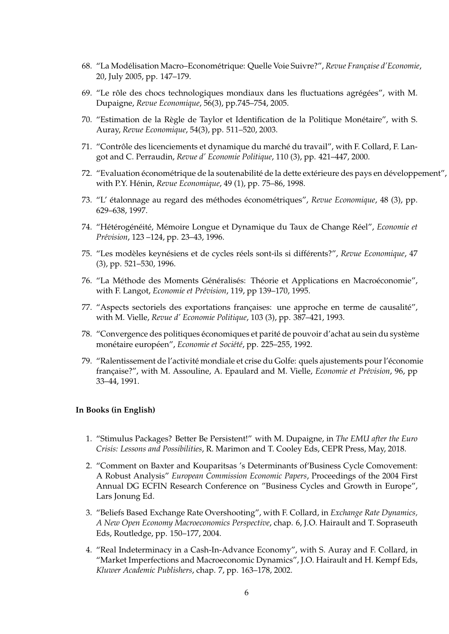- 68. "La Modélisation Macro–Econométrique: Quelle Voie Suivre?", Revue Française d'Economie, 20, July 2005, pp. 147–179.
- 69. "Le rôle des chocs technologiques mondiaux dans les fluctuations agrégées", with M. Dupaigne, *Revue Economique*, 56(3), pp.745–754, 2005.
- 70. "Estimation de la Règle de Taylor et Identification de la Politique Monétaire", with S. Auray, *Revue Economique*, 54(3), pp. 511–520, 2003.
- 71. "Contrôle des licenciements et dynamique du marché du travail", with F. Collard, F. Langot and C. Perraudin, *Revue d' Economie Politique*, 110 (3), pp. 421–447, 2000.
- 72. "Evaluation économétrique de la soutenabilité de la dette extérieure des pays en développement", with P.Y. Hénin, Revue Economique, 49 (1), pp. 75–86, 1998.
- 73. "L' étalonnage au regard des méthodes économétriques", Revue Economique, 48 (3), pp. 629–638, 1997.
- 74. "Hétérogénéité, Mémoire Longue et Dynamique du Taux de Change Réel", Economie et *Pr´evision*, 123 –124, pp. 23–43, 1996.
- 75. "Les modèles keynésiens et de cycles réels sont-ils si différents?", Revue Economique, 47 (3), pp. 521–530, 1996.
- 76. "La Méthode des Moments Généralisés: Théorie et Applications en Macroéconomie", with F. Langot, *Economie et Prévision*, 119, pp 139-170, 1995.
- 77. "Aspects sectoriels des exportations françaises: une approche en terme de causalité", with M. Vielle, *Revue d' Economie Politique*, 103 (3), pp. 387–421, 1993.
- 78. "Convergence des politiques économiques et parité de pouvoir d'achat au sein du système monétaire européen", *Economie et Société*, pp. 225-255, 1992.
- 79. "Ralentissement de l'activité mondiale et crise du Golfe: quels ajustements pour l'économie française?", with M. Assouline, A. Epaulard and M. Vielle, *Economie et Prévision*, 96, pp 33–44, 1991.

#### **In Books (in English)**

- 1. "Stimulus Packages? Better Be Persistent!" with M. Dupaigne, in *The EMU after the Euro Crisis: Lessons and Possibilities*, R. Marimon and T. Cooley Eds, CEPR Press, May, 2018.
- 2. "Comment on Baxter and Kouparitsas 's Determinants of'Business Cycle Comovement: A Robust Analysis" *European Commission Economic Papers*, Proceedings of the 2004 First Annual DG ECFIN Research Conference on "Business Cycles and Growth in Europe", Lars Jonung Ed.
- 3. "Beliefs Based Exchange Rate Overshooting", with F. Collard, in *Exchange Rate Dynamics, A New Open Economy Macroeconomics Perspective*, chap. 6, J.O. Hairault and T. Sopraseuth Eds, Routledge, pp. 150–177, 2004.
- 4. "Real Indeterminacy in a Cash-In-Advance Economy", with S. Auray and F. Collard, in "Market Imperfections and Macroeconomic Dynamics", J.O. Hairault and H. Kempf Eds, *Kluwer Academic Publishers*, chap. 7, pp. 163–178, 2002.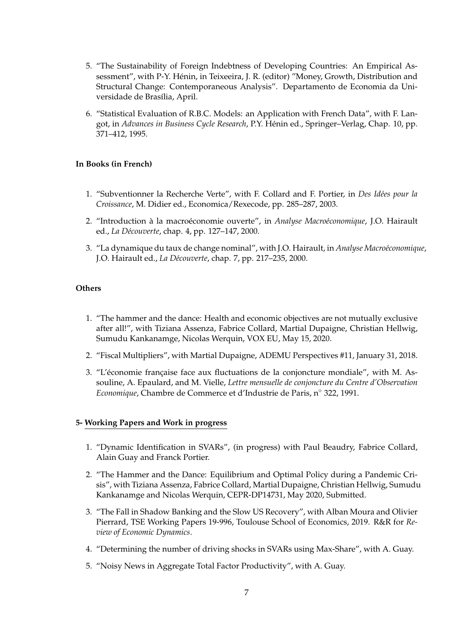- 5. "The Sustainability of Foreign Indebtness of Developing Countries: An Empirical Assessment", with P-Y. Henin, in Teixeeira, J. R. (editor) "Money, Growth, Distribution and ´ Structural Change: Contemporaneous Analysis". Departamento de Economia da Universidade de Brasília, April.
- 6. "Statistical Evaluation of R.B.C. Models: an Application with French Data", with F. Langot, in *Advances in Business Cycle Research*, P.Y. Henin ed., Springer–Verlag, Chap. 10, pp. ´ 371–412, 1995.

#### **In Books (in French)**

- 1. "Subventionner la Recherche Verte", with F. Collard and F. Portier, in *Des Idées pour la Croissance*, M. Didier ed., Economica/Rexecode, pp. 285–287, 2003.
- 2. "Introduction à la macroéconomie ouverte", in *Analyse Macroéconomique*, J.O. Hairault ed., *La D´ecouverte*, chap. 4, pp. 127–147, 2000.
- 3. "La dynamique du taux de change nominal", with J.O. Hairault, in *Analyse Macroéconomique*, J.O. Hairault ed., *La D´ecouverte*, chap. 7, pp. 217–235, 2000.

#### **Others**

- 1. "The hammer and the dance: Health and economic objectives are not mutually exclusive after all!", with Tiziana Assenza, Fabrice Collard, Martial Dupaigne, Christian Hellwig, Sumudu Kankanamge, Nicolas Werquin, VOX EU, May 15, 2020.
- 2. "Fiscal Multipliers", with Martial Dupaigne, ADEMU Perspectives #11, January 31, 2018.
- 3. "L'économie française face aux fluctuations de la conjoncture mondiale", with M. Assouline, A. Epaulard, and M. Vielle, *Lettre mensuelle de conjoncture du Centre d'Observation Economique*, Chambre de Commerce et d'Industrie de Paris, n◦ 322, 1991.

#### **5- Working Papers and Work in progress**

- 1. "Dynamic Identification in SVARs", (in progress) with Paul Beaudry, Fabrice Collard, Alain Guay and Franck Portier.
- 2. "The Hammer and the Dance: Equilibrium and Optimal Policy during a Pandemic Crisis", with Tiziana Assenza, Fabrice Collard, Martial Dupaigne, Christian Hellwig, Sumudu Kankanamge and Nicolas Werquin, CEPR-DP14731, May 2020, Submitted.
- 3. "The Fall in Shadow Banking and the Slow US Recovery", with Alban Moura and Olivier Pierrard, TSE Working Papers 19-996, Toulouse School of Economics, 2019. R&R for *Review of Economic Dynamics*.
- 4. "Determining the number of driving shocks in SVARs using Max-Share", with A. Guay.
- 5. "Noisy News in Aggregate Total Factor Productivity", with A. Guay.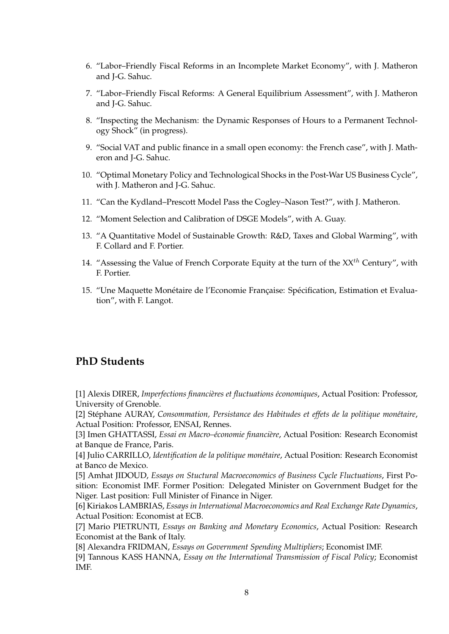- 6. "Labor–Friendly Fiscal Reforms in an Incomplete Market Economy", with J. Matheron and J-G. Sahuc.
- 7. "Labor–Friendly Fiscal Reforms: A General Equilibrium Assessment", with J. Matheron and J-G. Sahuc.
- 8. "Inspecting the Mechanism: the Dynamic Responses of Hours to a Permanent Technology Shock" (in progress).
- 9. "Social VAT and public finance in a small open economy: the French case", with J. Matheron and J-G. Sahuc.
- 10. "Optimal Monetary Policy and Technological Shocks in the Post-War US Business Cycle", with J. Matheron and J-G. Sahuc.
- 11. "Can the Kydland–Prescott Model Pass the Cogley–Nason Test?", with J. Matheron.
- 12. "Moment Selection and Calibration of DSGE Models", with A. Guay.
- 13. "A Quantitative Model of Sustainable Growth: R&D, Taxes and Global Warming", with F. Collard and F. Portier.
- 14. "Assessing the Value of French Corporate Equity at the turn of the  $XX<sup>th</sup>$  Century", with F. Portier.
- 15. "Une Maquette Monétaire de l'Economie Française: Spécification, Estimation et Evaluation", with F. Langot.

## **PhD Students**

[1] Alexis DIRER, *Imperfections financières et fluctuations économiques*, Actual Position: Professor, University of Grenoble.

[2] Stéphane AURAY, Consommation, Persistance des Habitudes et effets de la politique monétaire, Actual Position: Professor, ENSAI, Rennes.

[3] Imen GHATTASSI, *Essai en Macro-économie financière*, Actual Position: Research Economist at Banque de France, Paris.

[4] Julio CARRILLO, *Identification de la politique monétaire*, Actual Position: Research Economist at Banco de Mexico.

[5] Amhat JIDOUD, *Essays on Stuctural Macroeconomics of Business Cycle Fluctuations*, First Position: Economist IMF. Former Position: Delegated Minister on Government Budget for the Niger. Last position: Full Minister of Finance in Niger.

[6] Kiriakos LAMBRIAS, *Essays in International Macroeconomics and Real Exchange Rate Dynamics*, Actual Position: Economist at ECB.

[7] Mario PIETRUNTI, *Essays on Banking and Monetary Economics*, Actual Position: Research Economist at the Bank of Italy.

[8] Alexandra FRIDMAN, *Essays on Government Spending Multipliers*; Economist IMF.

[9] Tannous KASS HANNA, *Essay on the International Transmission of Fiscal Policy*; Economist IMF.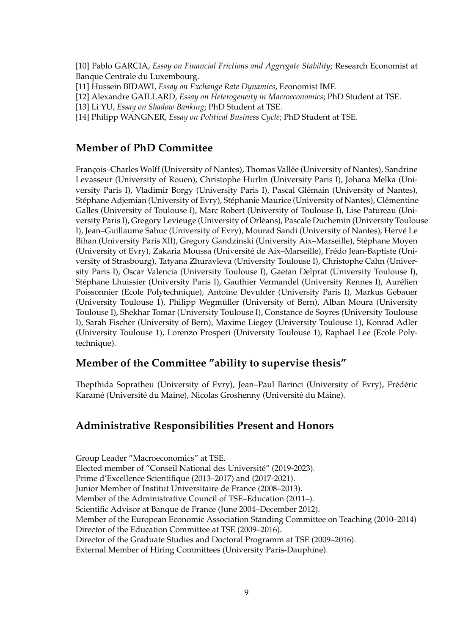[10] Pablo GARCIA, *Essay on Financial Frictions and Aggregate Stability*; Research Economist at Banque Centrale du Luxembourg.

[11] Hussein BIDAWI, *Essay on Exchange Rate Dynamics*, Economist IMF.

[12] Alexandre GAILLARD, *Essay on Heterogeneity in Macroeconomics*; PhD Student at TSE.

[13] Li YU, *Essay on Shadow Banking*; PhD Student at TSE.

[14] Philipp WANGNER, *Essay on Political Business Cycle*; PhD Student at TSE.

## **Member of PhD Committee**

François–Charles Wolff (University of Nantes), Thomas Vallée (University of Nantes), Sandrine Levasseur (University of Rouen), Christophe Hurlin (University Paris I), Johana Melka (University Paris I), Vladimir Borgy (University Paris I), Pascal Glémain (University of Nantes), Stéphane Adjemian (University of Evry), Stéphanie Maurice (University of Nantes), Clémentine Galles (University of Toulouse I), Marc Robert (University of Toulouse I), Lise Patureau (University Paris I), Gregory Levieuge (University of Orleans), Pascale Duchemin (University Toulouse ´ I), Jean–Guillaume Sahuc (University of Evry), Mourad Sandi (University of Nantes), Herve Le ´ Bihan (University Paris XII), Gregory Gandzinski (University Aix-Marseille), Stéphane Moyen (University of Evry), Zakaria Moussa (Université de Aix–Marseille), Frédo Jean-Baptiste (University of Strasbourg), Tatyana Zhuravleva (University Toulouse I), Christophe Cahn (University Paris I), Oscar Valencia (University Toulouse I), Gaetan Delprat (University Toulouse I), Stéphane Lhuissier (University Paris I), Gauthier Vermandel (University Rennes I), Aurélien Poissonnier (Ecole Polytechnique), Antoine Devulder (University Paris I), Markus Gebauer (University Toulouse 1), Philipp Wegmuller (University of Bern), Alban Moura (University ¨ Toulouse I), Shekhar Tomar (University Toulouse I), Constance de Soyres (University Toulouse I), Sarah Fischer (University of Bern), Maxime Liegey (University Toulouse 1), Konrad Adler (University Toulouse 1), Lorenzo Prosperi (University Toulouse 1), Raphael Lee (Ecole Polytechnique).

## **Member of the Committee "ability to supervise thesis"**

Thepthida Sopratheu (University of Evry), Jean-Paul Barinci (University of Evry), Frédéric Karamé (Université du Maine), Nicolas Groshenny (Université du Maine).

### **Administrative Responsibilities Present and Honors**

Group Leader "Macroeconomics" at TSE. Elected member of "Conseil National des Université" (2019-2023). Prime d'Excellence Scientifique (2013–2017) and (2017-2021). Junior Member of Institut Universitaire de France (2008–2013). Member of the Administrative Council of TSE–Education (2011–). Scientific Advisor at Banque de France (June 2004–December 2012). Member of the European Economic Association Standing Committee on Teaching (2010–2014) Director of the Education Committee at TSE (2009–2016). Director of the Graduate Studies and Doctoral Programm at TSE (2009–2016). External Member of Hiring Committees (University Paris-Dauphine).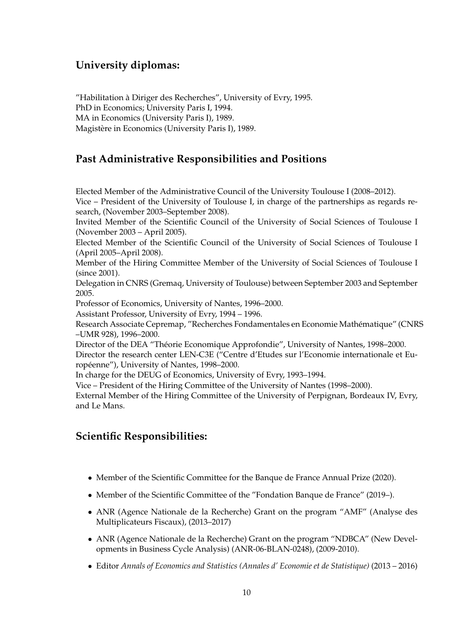# **University diplomas:**

"Habilitation a Diriger des Recherches", University of Evry, 1995. ` PhD in Economics; University Paris I, 1994. MA in Economics (University Paris I), 1989. Magistère in Economics (University Paris I), 1989.

# **Past Administrative Responsibilities and Positions**

Elected Member of the Administrative Council of the University Toulouse I (2008–2012).

Vice – President of the University of Toulouse I, in charge of the partnerships as regards research, (November 2003–September 2008).

Invited Member of the Scientific Council of the University of Social Sciences of Toulouse I (November 2003 – April 2005).

Elected Member of the Scientific Council of the University of Social Sciences of Toulouse I (April 2005–April 2008).

Member of the Hiring Committee Member of the University of Social Sciences of Toulouse I (since 2001).

Delegation in CNRS (Gremaq, University of Toulouse) between September 2003 and September 2005.

Professor of Economics, University of Nantes, 1996–2000.

Assistant Professor, University of Evry, 1994 – 1996.

Research Associate Cepremap, "Recherches Fondamentales en Economie Mathematique" (CNRS ´ –UMR 928), 1996–2000.

Director of the DEA "Theorie Economique Approfondie", University of Nantes, 1998–2000. ´

Director the research center LEN-C3E ("Centre d'Etudes sur l'Economie internationale et Européenne"), University of Nantes, 1998–2000.

In charge for the DEUG of Economics, University of Evry, 1993–1994.

Vice – President of the Hiring Committee of the University of Nantes (1998–2000).

External Member of the Hiring Committee of the University of Perpignan, Bordeaux IV, Evry, and Le Mans.

# **Scientific Responsibilities:**

- Member of the Scientific Committee for the Banque de France Annual Prize (2020).
- Member of the Scientific Committee of the "Fondation Banque de France" (2019–).
- ANR (Agence Nationale de la Recherche) Grant on the program "AMF" (Analyse des Multiplicateurs Fiscaux), (2013–2017)
- ANR (Agence Nationale de la Recherche) Grant on the program "NDBCA" (New Developments in Business Cycle Analysis) (ANR-06-BLAN-0248), (2009-2010).
- Editor *Annals of Economics and Statistics (Annales d' Economie et de Statistique)* (2013 2016)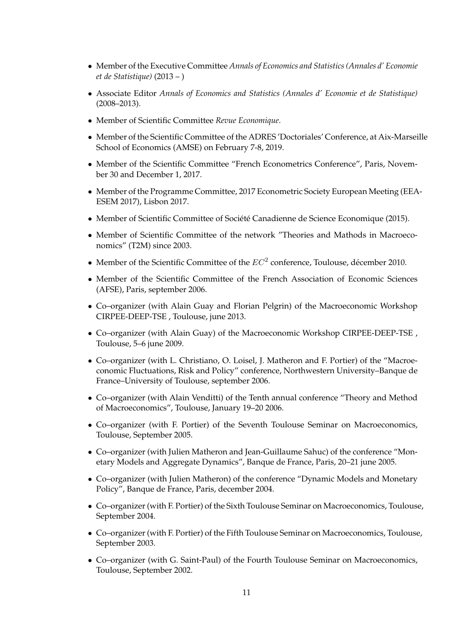- Member of the Executive Committee *Annals of Economics and Statistics (Annales d' Economie et de Statistique)* (2013 – )
- Associate Editor *Annals of Economics and Statistics (Annales d' Economie et de Statistique)* (2008–2013).
- Member of Scientific Committee *Revue Economique*.
- Member of the Scientific Committee of the ADRES 'Doctoriales' Conference, at Aix-Marseille School of Economics (AMSE) on February 7-8, 2019.
- Member of the Scientific Committee "French Econometrics Conference", Paris, November 30 and December 1, 2017.
- Member of the Programme Committee, 2017 Econometric Society European Meeting (EEA-ESEM 2017), Lisbon 2017.
- Member of Scientific Committee of Société Canadienne de Science Economique (2015).
- Member of Scientific Committee of the network "Theories and Mathods in Macroeconomics" (T2M) since 2003.
- Member of the Scientific Committee of the  $EC^2$  conference, Toulouse, décember 2010.
- Member of the Scientific Committee of the French Association of Economic Sciences (AFSE), Paris, september 2006.
- Co–organizer (with Alain Guay and Florian Pelgrin) of the Macroeconomic Workshop CIRPEE-DEEP-TSE , Toulouse, june 2013.
- Co–organizer (with Alain Guay) of the Macroeconomic Workshop CIRPEE-DEEP-TSE , Toulouse, 5–6 june 2009.
- Co–organizer (with L. Christiano, O. Loisel, J. Matheron and F. Portier) of the "Macroeconomic Fluctuations, Risk and Policy" conference, Northwestern University–Banque de France–University of Toulouse, september 2006.
- Co–organizer (with Alain Venditti) of the Tenth annual conference "Theory and Method of Macroeconomics", Toulouse, January 19–20 2006.
- Co–organizer (with F. Portier) of the Seventh Toulouse Seminar on Macroeconomics, Toulouse, September 2005.
- Co–organizer (with Julien Matheron and Jean-Guillaume Sahuc) of the conference "Monetary Models and Aggregate Dynamics", Banque de France, Paris, 20–21 june 2005.
- Co–organizer (with Julien Matheron) of the conference "Dynamic Models and Monetary Policy", Banque de France, Paris, december 2004.
- Co–organizer (with F. Portier) of the Sixth Toulouse Seminar on Macroeconomics, Toulouse, September 2004.
- Co–organizer (with F. Portier) of the Fifth Toulouse Seminar on Macroeconomics, Toulouse, September 2003.
- Co–organizer (with G. Saint-Paul) of the Fourth Toulouse Seminar on Macroeconomics, Toulouse, September 2002.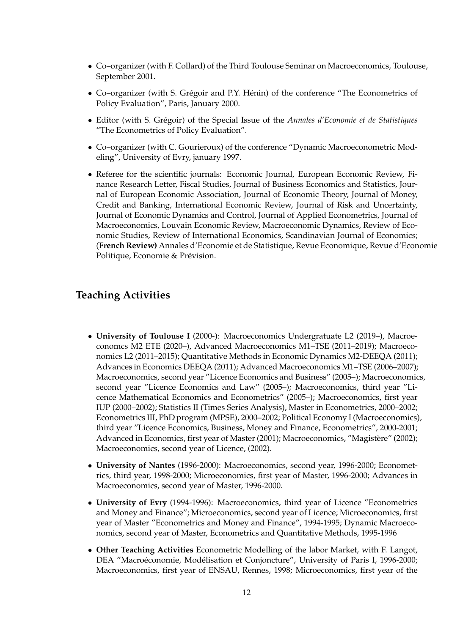- Co–organizer (with F. Collard) of the Third Toulouse Seminar on Macroeconomics, Toulouse, September 2001.
- Co-organizer (with S. Grégoir and P.Y. Hénin) of the conference "The Econometrics of Policy Evaluation", Paris, January 2000.
- Editor (with S. Grégoir) of the Special Issue of the *Annales d'Economie et de Statistiques* "The Econometrics of Policy Evaluation".
- Co–organizer (with C. Gourieroux) of the conference "Dynamic Macroeconometric Modeling", University of Evry, january 1997.
- Referee for the scientific journals: Economic Journal, European Economic Review, Finance Research Letter, Fiscal Studies, Journal of Business Economics and Statistics, Journal of European Economic Association, Journal of Economic Theory, Journal of Money, Credit and Banking, International Economic Review, Journal of Risk and Uncertainty, Journal of Economic Dynamics and Control, Journal of Applied Econometrics, Journal of Macroeconomics, Louvain Economic Review, Macroeconomic Dynamics, Review of Economic Studies, Review of International Economics, Scandinavian Journal of Economics; (**French Review)** Annales d'Economie et de Statistique, Revue Economique, Revue d'Economie Politique, Economie & Prévision.

# **Teaching Activities**

- **University of Toulouse I** (2000-): Macroeconomics Undergratuate L2 (2019–), Macroeconomcs M2 ETE (2020–), Advanced Macroeconomics M1–TSE (2011–2019); Macroeconomics L2 (2011–2015); Quantitative Methods in Economic Dynamics M2-DEEQA (2011); Advances in Economics DEEQA (2011); Advanced Macroeconomics M1–TSE (2006–2007); Macroeconomics, second year "Licence Economics and Business" (2005–); Macroeconomics, second year "Licence Economics and Law" (2005–); Macroeconomics, third year "Licence Mathematical Economics and Econometrics" (2005–); Macroeconomics, first year IUP (2000–2002); Statistics II (Times Series Analysis), Master in Econometrics, 2000–2002; Econometrics III, PhD program (MPSE), 2000–2002; Political Economy I (Macroeconomics), third year "Licence Economics, Business, Money and Finance, Econometrics", 2000-2001; Advanced in Economics, first year of Master (2001); Macroeconomics, "Magistère" (2002); Macroeconomics, second year of Licence, (2002).
- **University of Nantes** (1996-2000): Macroeconomics, second year, 1996-2000; Econometrics, third year, 1998-2000; Microeconomics, first year of Master, 1996-2000; Advances in Macroeconomics, second year of Master, 1996-2000.
- **University of Evry** (1994-1996): Macroeconomics, third year of Licence "Econometrics and Money and Finance"; Microeconomics, second year of Licence; Microeconomics, first year of Master "Econometrics and Money and Finance", 1994-1995; Dynamic Macroeconomics, second year of Master, Econometrics and Quantitative Methods, 1995-1996
- **Other Teaching Activities** Econometric Modelling of the labor Market, with F. Langot, DEA "Macroéconomie, Modélisation et Conjoncture", University of Paris I, 1996-2000; Macroeconomics, first year of ENSAU, Rennes, 1998; Microeconomics, first year of the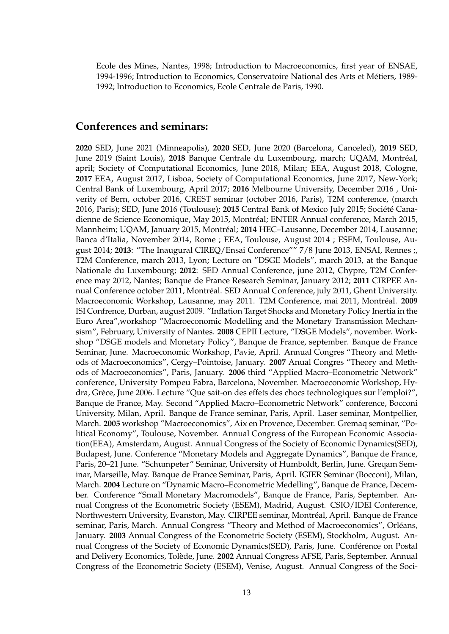Ecole des Mines, Nantes, 1998; Introduction to Macroeconomics, first year of ENSAE, 1994-1996; Introduction to Economics, Conservatoire National des Arts et Metiers, 1989- ´ 1992; Introduction to Economics, Ecole Centrale de Paris, 1990.

### **Conferences and seminars:**

**2020** SED, June 2021 (Minneapolis), **2020** SED, June 2020 (Barcelona, Canceled), **2019** SED, June 2019 (Saint Louis), **2018** Banque Centrale du Luxembourg, march; UQAM, Montreal, ´ april; Society of Computational Economics, June 2018, Milan; EEA, August 2018, Cologne, **2017** EEA, August 2017, Lisboa, Society of Computational Economics, June 2017, New-York; Central Bank of Luxembourg, April 2017; **2016** Melbourne University, December 2016 , Univerity of Bern, october 2016, CREST seminar (october 2016, Paris), T2M conference, (march 2016, Paris); SED, June 2016 (Toulouse); 2015 Central Bank of Mexico July 2015; Société Canadienne de Science Economique, May 2015, Montreal; ENTER Annual conference, March 2015, ´ Mannheim; UQAM, January 2015, Montréal; 2014 HEC–Lausanne, December 2014, Lausanne; Banca d'Italia, November 2014, Rome ; EEA, Toulouse, August 2014 ; ESEM, Toulouse, August 2014; **2013**: "The Inaugural CIREQ/Ensai Conference"" 7/8 June 2013, ENSAI, Rennes ;, T2M Conference, march 2013, Lyon; Lecture on "DSGE Models", march 2013, at the Banque Nationale du Luxembourg; **2012**: SED Annual Conference, june 2012, Chypre, T2M Conference may 2012, Nantes; Banque de France Research Seminar, January 2012; **2011** CIRPEE Annual Conference october 2011, Montreal. SED Annual Conference, july 2011, Ghent University. ´ Macroeconomic Workshop, Lausanne, may 2011. T2M Conference, mai 2011, Montréal. <sup>2009</sup> ISI Confrence, Durban, august 2009. "Inflation Target Shocks and Monetary Policy Inertia in the Euro Area",workshop "Macroeconomic Modelling and the Monetary Transmission Mechansism", February, University of Nantes. **2008** CEPII Lecture, "DSGE Models", november. Workshop "DSGE models and Monetary Policy", Banque de France, september. Banque de France Seminar, June. Macroeconomic Workshop, Pavie, April. Annual Congres "Theory and Methods of Macroeconomics", Cergy–Pointoise, January. **2007** Anual Congres "Theory and Methods of Macroeconomics", Paris, January. **2006** third "Applied Macro–Econometric Network" conference, University Pompeu Fabra, Barcelona, November. Macroeconomic Workshop, Hydra, Grèce, June 2006. Lecture "Que sait-on des effets des chocs technologiques sur l'emploi?", Banque de France, May. Second "Applied Macro–Econometric Network" conference, Bocconi University, Milan, April. Banque de France seminar, Paris, April. Laser seminar, Montpellier, March. **2005** workshop "Macroeconomics", Aix en Provence, December. Gremaq seminar, "Political Economy", Toulouse, November. Annual Congress of the European Economic Association(EEA), Amsterdam, August. Annual Congress of the Society of Economic Dynamics(SED), Budapest, June. Conference "Monetary Models and Aggregate Dynamics", Banque de France, Paris, 20–21 June. "Schumpeter" Seminar, University of Humboldt, Berlin, June. Greqam Seminar, Marseille, May. Banque de France Seminar, Paris, April. IGIER Seminar (Bocconi), Milan, March. **2004** Lecture on "Dynamic Macro–Econometric Medelling", Banque de France, December. Conference "Small Monetary Macromodels", Banque de France, Paris, September. Annual Congress of the Econometric Society (ESEM), Madrid, August. CSIO/IDEI Conference, Northwestern University, Evanston, May. CIRPEE seminar, Montreal, April. Banque de France ´ seminar, Paris, March. Annual Congress "Theory and Method of Macroeconomics", Orléans, January. **2003** Annual Congress of the Econometric Society (ESEM), Stockholm, August. Annual Congress of the Society of Economic Dynamics(SED), Paris, June. Conférence on Postal and Delivery Economics, Tolède, June. 2002 Annual Congress AFSE, Paris, September. Annual Congress of the Econometric Society (ESEM), Venise, August. Annual Congress of the Soci-